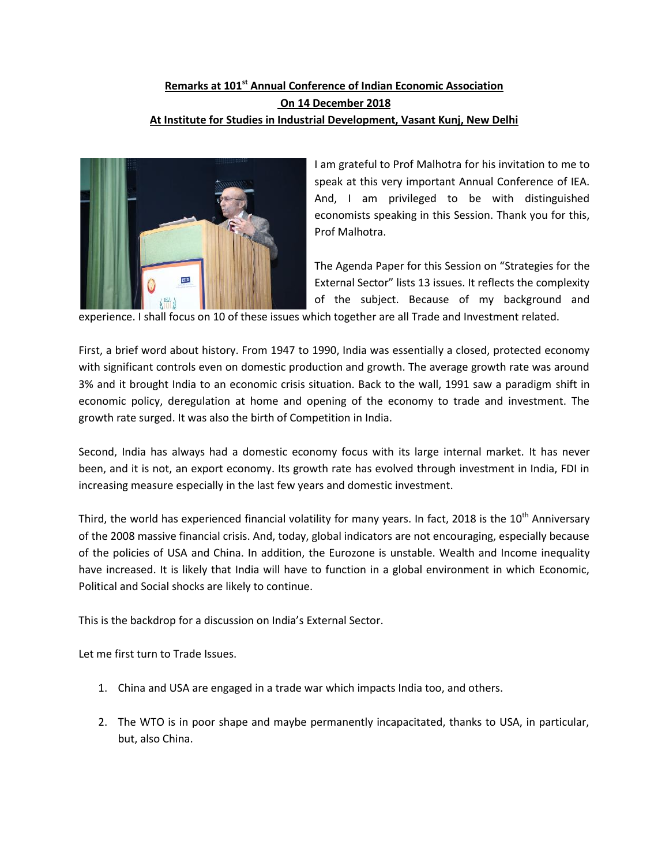## **Remarks at 101st Annual Conference of Indian Economic Association On 14 December 2018 At Institute for Studies in Industrial Development, Vasant Kunj, New Delhi**



I am grateful to Prof Malhotra for his invitation to me to speak at this very important Annual Conference of IEA. And, I am privileged to be with distinguished economists speaking in this Session. Thank you for this, Prof Malhotra.

The Agenda Paper for this Session on "Strategies for the External Sector" lists 13 issues. It reflects the complexity of the subject. Because of my background and

experience. I shall focus on 10 of these issues which together are all Trade and Investment related.

First, a brief word about history. From 1947 to 1990, India was essentially a closed, protected economy with significant controls even on domestic production and growth. The average growth rate was around 3% and it brought India to an economic crisis situation. Back to the wall, 1991 saw a paradigm shift in economic policy, deregulation at home and opening of the economy to trade and investment. The growth rate surged. It was also the birth of Competition in India.

Second, India has always had a domestic economy focus with its large internal market. It has never been, and it is not, an export economy. Its growth rate has evolved through investment in India, FDI in increasing measure especially in the last few years and domestic investment.

Third, the world has experienced financial volatility for many years. In fact, 2018 is the  $10^{th}$  Anniversary of the 2008 massive financial crisis. And, today, global indicators are not encouraging, especially because of the policies of USA and China. In addition, the Eurozone is unstable. Wealth and Income inequality have increased. It is likely that India will have to function in a global environment in which Economic, Political and Social shocks are likely to continue.

This is the backdrop for a discussion on India's External Sector.

Let me first turn to Trade Issues.

- 1. China and USA are engaged in a trade war which impacts India too, and others.
- 2. The WTO is in poor shape and maybe permanently incapacitated, thanks to USA, in particular, but, also China.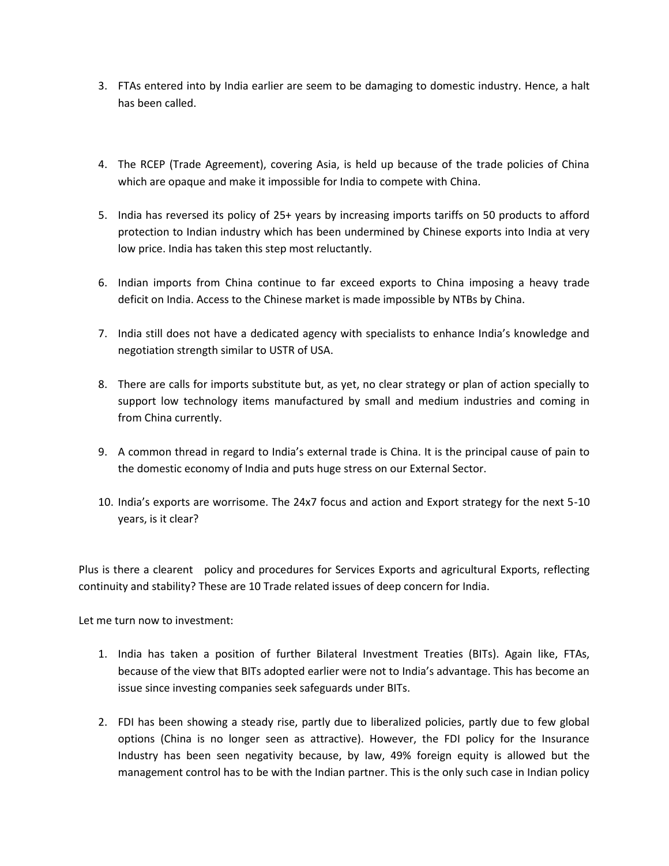- 3. FTAs entered into by India earlier are seem to be damaging to domestic industry. Hence, a halt has been called.
- 4. The RCEP (Trade Agreement), covering Asia, is held up because of the trade policies of China which are opaque and make it impossible for India to compete with China.
- 5. India has reversed its policy of 25+ years by increasing imports tariffs on 50 products to afford protection to Indian industry which has been undermined by Chinese exports into India at very low price. India has taken this step most reluctantly.
- 6. Indian imports from China continue to far exceed exports to China imposing a heavy trade deficit on India. Access to the Chinese market is made impossible by NTBs by China.
- 7. India still does not have a dedicated agency with specialists to enhance India's knowledge and negotiation strength similar to USTR of USA.
- 8. There are calls for imports substitute but, as yet, no clear strategy or plan of action specially to support low technology items manufactured by small and medium industries and coming in from China currently.
- 9. A common thread in regard to India's external trade is China. It is the principal cause of pain to the domestic economy of India and puts huge stress on our External Sector.
- 10. India's exports are worrisome. The 24x7 focus and action and Export strategy for the next 5-10 years, is it clear?

Plus is there a clearent policy and procedures for Services Exports and agricultural Exports, reflecting continuity and stability? These are 10 Trade related issues of deep concern for India.

Let me turn now to investment:

- 1. India has taken a position of further Bilateral Investment Treaties (BITs). Again like, FTAs, because of the view that BITs adopted earlier were not to India's advantage. This has become an issue since investing companies seek safeguards under BITs.
- 2. FDI has been showing a steady rise, partly due to liberalized policies, partly due to few global options (China is no longer seen as attractive). However, the FDI policy for the Insurance Industry has been seen negativity because, by law, 49% foreign equity is allowed but the management control has to be with the Indian partner. This is the only such case in Indian policy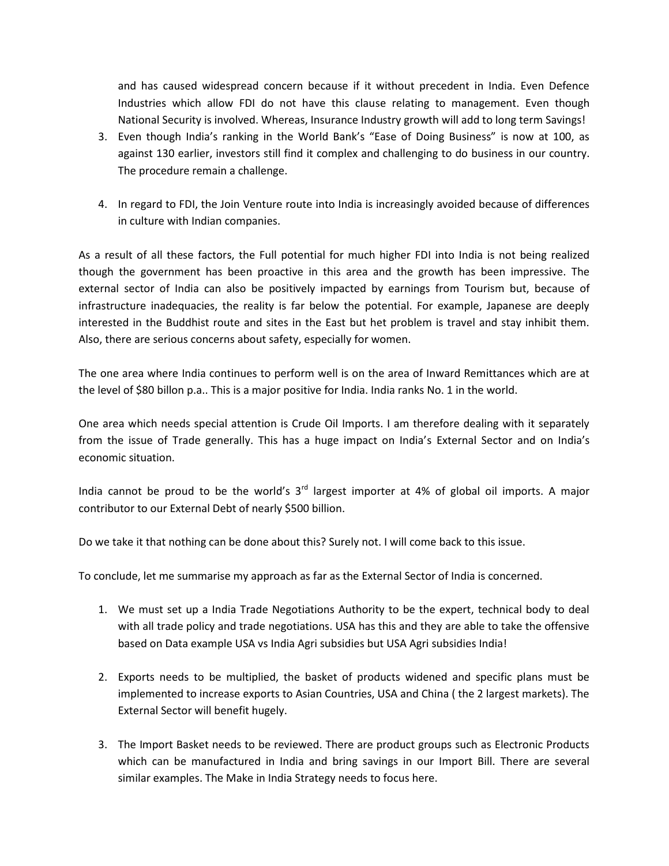and has caused widespread concern because if it without precedent in India. Even Defence Industries which allow FDI do not have this clause relating to management. Even though National Security is involved. Whereas, Insurance Industry growth will add to long term Savings!

- 3. Even though India's ranking in the World Bank's "Ease of Doing Business" is now at 100, as against 130 earlier, investors still find it complex and challenging to do business in our country. The procedure remain a challenge.
- 4. In regard to FDI, the Join Venture route into India is increasingly avoided because of differences in culture with Indian companies.

As a result of all these factors, the Full potential for much higher FDI into India is not being realized though the government has been proactive in this area and the growth has been impressive. The external sector of India can also be positively impacted by earnings from Tourism but, because of infrastructure inadequacies, the reality is far below the potential. For example, Japanese are deeply interested in the Buddhist route and sites in the East but het problem is travel and stay inhibit them. Also, there are serious concerns about safety, especially for women.

The one area where India continues to perform well is on the area of Inward Remittances which are at the level of \$80 billon p.a.. This is a major positive for India. India ranks No. 1 in the world.

One area which needs special attention is Crude Oil Imports. I am therefore dealing with it separately from the issue of Trade generally. This has a huge impact on India's External Sector and on India's economic situation.

India cannot be proud to be the world's 3<sup>rd</sup> largest importer at 4% of global oil imports. A major contributor to our External Debt of nearly \$500 billion.

Do we take it that nothing can be done about this? Surely not. I will come back to this issue.

To conclude, let me summarise my approach as far as the External Sector of India is concerned.

- 1. We must set up a India Trade Negotiations Authority to be the expert, technical body to deal with all trade policy and trade negotiations. USA has this and they are able to take the offensive based on Data example USA vs India Agri subsidies but USA Agri subsidies India!
- 2. Exports needs to be multiplied, the basket of products widened and specific plans must be implemented to increase exports to Asian Countries, USA and China ( the 2 largest markets). The External Sector will benefit hugely.
- 3. The Import Basket needs to be reviewed. There are product groups such as Electronic Products which can be manufactured in India and bring savings in our Import Bill. There are several similar examples. The Make in India Strategy needs to focus here.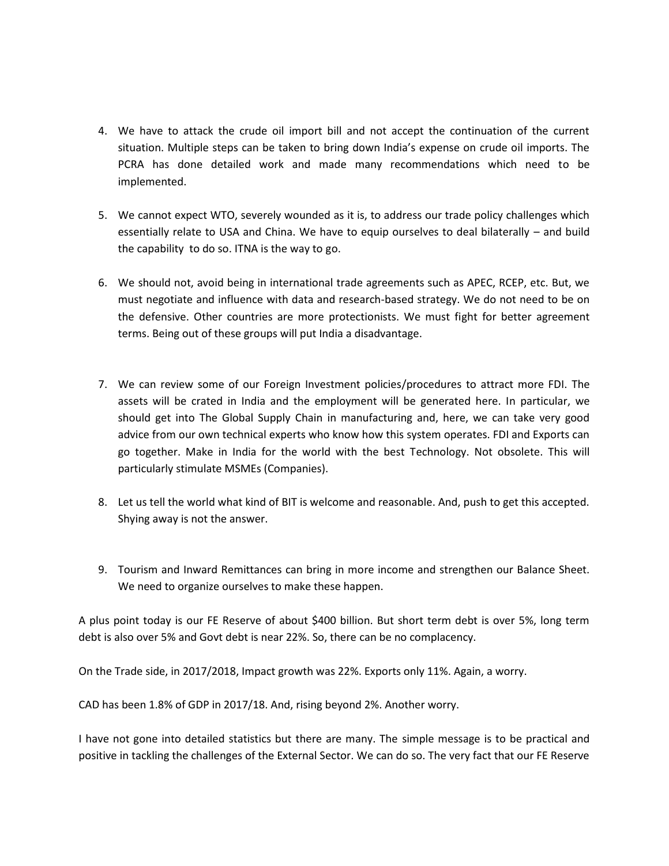- 4. We have to attack the crude oil import bill and not accept the continuation of the current situation. Multiple steps can be taken to bring down India's expense on crude oil imports. The PCRA has done detailed work and made many recommendations which need to be implemented.
- 5. We cannot expect WTO, severely wounded as it is, to address our trade policy challenges which essentially relate to USA and China. We have to equip ourselves to deal bilaterally – and build the capability to do so. ITNA is the way to go.
- 6. We should not, avoid being in international trade agreements such as APEC, RCEP, etc. But, we must negotiate and influence with data and research-based strategy. We do not need to be on the defensive. Other countries are more protectionists. We must fight for better agreement terms. Being out of these groups will put India a disadvantage.
- 7. We can review some of our Foreign Investment policies/procedures to attract more FDI. The assets will be crated in India and the employment will be generated here. In particular, we should get into The Global Supply Chain in manufacturing and, here, we can take very good advice from our own technical experts who know how this system operates. FDI and Exports can go together. Make in India for the world with the best Technology. Not obsolete. This will particularly stimulate MSMEs (Companies).
- 8. Let us tell the world what kind of BIT is welcome and reasonable. And, push to get this accepted. Shying away is not the answer.
- 9. Tourism and Inward Remittances can bring in more income and strengthen our Balance Sheet. We need to organize ourselves to make these happen.

A plus point today is our FE Reserve of about \$400 billion. But short term debt is over 5%, long term debt is also over 5% and Govt debt is near 22%. So, there can be no complacency.

On the Trade side, in 2017/2018, Impact growth was 22%. Exports only 11%. Again, a worry.

CAD has been 1.8% of GDP in 2017/18. And, rising beyond 2%. Another worry.

I have not gone into detailed statistics but there are many. The simple message is to be practical and positive in tackling the challenges of the External Sector. We can do so. The very fact that our FE Reserve